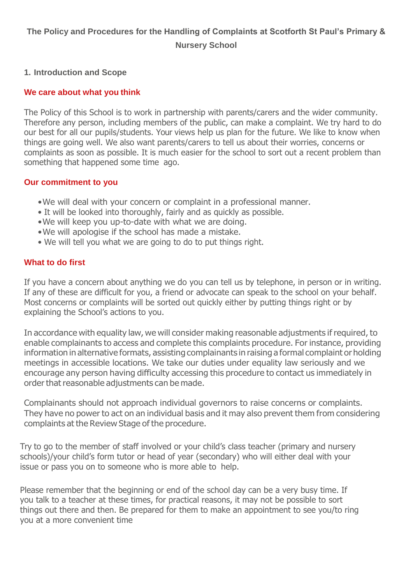# **The Policy and Procedures for the Handling of Complaints at Scotforth St Paul's Primary & Nursery School**

#### **1. Introduction and Scope**

#### **We care about what you think**

The Policy of this School is to work in partnership with parents/carers and the wider community. Therefore any person, including members of the public, can make a complaint. We try hard to do our best for all our pupils/students. Your views help us plan for the future. We like to know when things are going well. We also want parents/carers to tell us about their worries, concerns or complaints as soon as possible. It is much easier for the school to sort out a recent problem than something that happened some time ago.

#### **Our commitment to you**

- •We will deal with your concern or complaint in a professional manner.
- It will be looked into thoroughly, fairly and as quickly as possible.
- •We will keep you up-to-date with what we are doing.
- •We will apologise if the school has made a mistake.
- We will tell you what we are going to do to put things right.

#### **What to do first**

If you have a concern about anything we do you can tell us by telephone, in person or in writing. If any of these are difficult for you, a friend or advocate can speak to the school on your behalf. Most concerns or complaints will be sorted out quickly either by putting things right or by explaining the School's actions to you.

In accordance with equality law, we will consider making reasonable adjustments if required, to enable complainants to access and complete this complaints procedure. For instance, providing information in alternative formats, assisting complainants in raising a formal complaint or holding meetings in accessible locations. We take our duties under equality law seriously and we encourage any person having difficulty accessing this procedure to contact us immediately in order that reasonable adjustments can be made.

Complainants should not approach individual governors to raise concerns or complaints. They have no power to act on an individual basis and it may also prevent them from considering complaints at the Review Stage of the procedure.

Try to go to the member of staff involved or your child's class teacher (primary and nursery schools)/your child's form tutor or head of year (secondary) who will either deal with your issue or pass you on to someone who is more able to help.

Please remember that the beginning or end of the school day can be a very busy time. If you talk to a teacher at these times, for practical reasons, it may not be possible to sort things out there and then. Be prepared for them to make an appointment to see you/to ring you at a more convenient time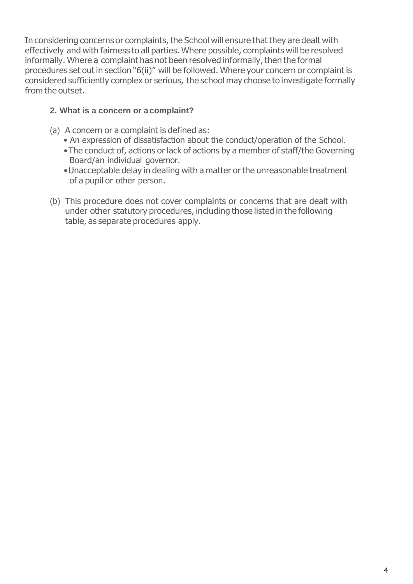In considering concerns or complaints, the School will ensure that they are dealt with effectively and with fairness to all parties. Where possible, complaints will be resolved informally. Where a complaint has not been resolved informally, then the formal procedures set out in section "6(ii)" will be followed. Where your concern or complaint is considered sufficiently complex or serious, the school may choose to investigate formally from the outset.

## **2. What is a concern or a complaint?**

- (a) A concern or a complaint is defined as:
	- An expression of dissatisfaction about the conduct/operation of the School.
	- •The conduct of, actions or lack of actions by a member of staff/the Governing Board/an individual governor.
	- •Unacceptable delay in dealing with a matter or the unreasonable treatment of a pupil or other person.
- (b) This procedure does not cover complaints or concerns that are dealt with under other statutory procedures, including those listed in the following table, as separate procedures apply.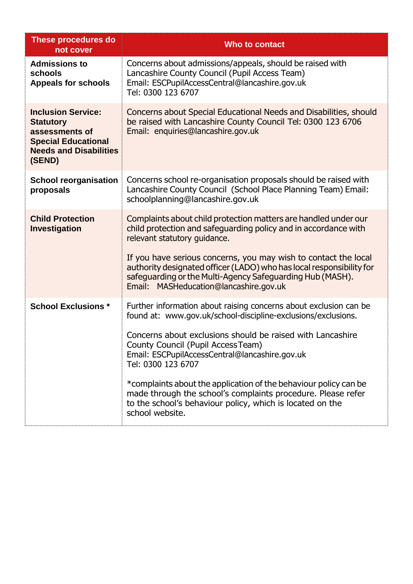| These procedures do<br>not cover                                                                                                         | Who to contact                                                                                                                                                                                                                                                                                                                                                                                                                                                                                                                     |
|------------------------------------------------------------------------------------------------------------------------------------------|------------------------------------------------------------------------------------------------------------------------------------------------------------------------------------------------------------------------------------------------------------------------------------------------------------------------------------------------------------------------------------------------------------------------------------------------------------------------------------------------------------------------------------|
| <b>Admissions to</b><br>schools<br><b>Appeals for schools</b>                                                                            | Concerns about admissions/appeals, should be raised with<br>Lancashire County Council (Pupil Access Team)<br>Email: ESCPupilAccessCentral@lancashire.gov.uk<br>Tel: 0300 123 6707                                                                                                                                                                                                                                                                                                                                                  |
| <b>Inclusion Service:</b><br><b>Statutory</b><br>assessments of<br><b>Special Educational</b><br><b>Needs and Disabilities</b><br>(SEND) | Concerns about Special Educational Needs and Disabilities, should<br>be raised with Lancashire County Council Tel: 0300 123 6706<br>Email: enquiries@lancashire.gov.uk                                                                                                                                                                                                                                                                                                                                                             |
| <b>School reorganisation</b><br>proposals                                                                                                | Concerns school re-organisation proposals should be raised with<br>Lancashire County Council (School Place Planning Team) Email:<br>schoolplanning@lancashire.gov.uk                                                                                                                                                                                                                                                                                                                                                               |
| <b>Child Protection</b><br>Investigation                                                                                                 | Complaints about child protection matters are handled under our<br>child protection and safeguarding policy and in accordance with<br>relevant statutory guidance.<br>If you have serious concerns, you may wish to contact the local<br>authority designated officer (LADO) who has local responsibility for<br>safeguarding or the Multi-Agency Safeguarding Hub (MASH).<br>Email: MASHeducation@lancashire.gov.uk                                                                                                               |
| <b>School Exclusions *</b>                                                                                                               | Further information about raising concerns about exclusion can be<br>found at: www.gov.uk/school-discipline-exclusions/exclusions.<br>Concerns about exclusions should be raised with Lancashire<br>County Council (Pupil Access Team)<br>Email: ESCPupilAccessCentral@lancashire.gov.uk<br>Tel: 0300 123 6707<br>*complaints about the application of the behaviour policy can be<br>made through the school's complaints procedure. Please refer<br>to the school's behaviour policy, which is located on the<br>school website. |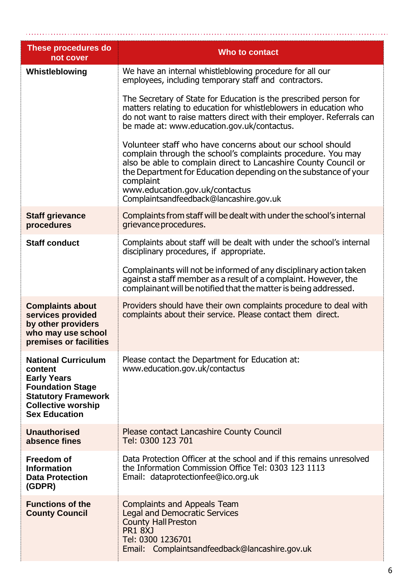| <b>These procedures do</b><br>not cover                                                                                                                                   | Who to contact                                                                                                                                                                                                                                                                                                                                           |  |
|---------------------------------------------------------------------------------------------------------------------------------------------------------------------------|----------------------------------------------------------------------------------------------------------------------------------------------------------------------------------------------------------------------------------------------------------------------------------------------------------------------------------------------------------|--|
| Whistleblowing                                                                                                                                                            | We have an internal whistleblowing procedure for all our<br>employees, including temporary staff and contractors.                                                                                                                                                                                                                                        |  |
|                                                                                                                                                                           | The Secretary of State for Education is the prescribed person for<br>matters relating to education for whistleblowers in education who<br>do not want to raise matters direct with their employer. Referrals can<br>be made at: www.education.gov.uk/contactus.                                                                                          |  |
|                                                                                                                                                                           | Volunteer staff who have concerns about our school should<br>complain through the school's complaints procedure. You may<br>also be able to complain direct to Lancashire County Council or<br>the Department for Education depending on the substance of your<br>complaint<br>www.education.gov.uk/contactus<br>Complaintsandfeedback@lancashire.gov.uk |  |
| <b>Staff grievance</b><br>procedures                                                                                                                                      | Complaints from staff will be dealt with under the school's internal<br>grievance procedures.                                                                                                                                                                                                                                                            |  |
| <b>Staff conduct</b>                                                                                                                                                      | Complaints about staff will be dealt with under the school's internal<br>disciplinary procedures, if appropriate.                                                                                                                                                                                                                                        |  |
|                                                                                                                                                                           | Complainants will not be informed of any disciplinary action taken<br>against a staff member as a result of a complaint. However, the<br>complainant will be notified that the matter is being addressed.                                                                                                                                                |  |
| <b>Complaints about</b><br>services provided<br>by other providers<br>who may use school<br>premises or facilities                                                        | Providers should have their own complaints procedure to deal with<br>complaints about their service. Please contact them direct.                                                                                                                                                                                                                         |  |
| <b>National Curriculum</b><br>content<br><b>Early Years</b><br><b>Foundation Stage</b><br><b>Statutory Framework</b><br><b>Collective worship</b><br><b>Sex Education</b> | Please contact the Department for Education at:<br>www.education.gov.uk/contactus                                                                                                                                                                                                                                                                        |  |
| <b>Unauthorised</b><br>absence fines                                                                                                                                      | <b>Please contact Lancashire County Council</b><br>Tel: 0300 123 701                                                                                                                                                                                                                                                                                     |  |
| Freedom of<br><b>Information</b><br><b>Data Protection</b><br>(GDPR)                                                                                                      | Data Protection Officer at the school and if this remains unresolved<br>the Information Commission Office Tel: 0303 123 1113<br>Email: dataprotectionfee@ico.org.uk                                                                                                                                                                                      |  |
| <b>Functions of the</b><br><b>County Council</b>                                                                                                                          | <b>Complaints and Appeals Team</b><br><b>Legal and Democratic Services</b><br><b>County Hall Preston</b><br><b>PR1 8XJ</b><br>Tel: 0300 1236701<br>Email: Complaintsandfeedback@lancashire.gov.uk                                                                                                                                                        |  |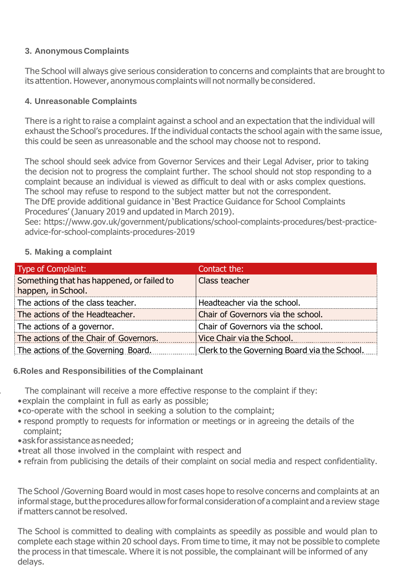## **3. AnonymousComplaints**

The School will always give serious consideration to concerns and complaints that are brought to its attention. However, anonymous complaints will not normally be considered.

## **4. Unreasonable Complaints**

There is a right to raise a complaint against a school and an expectation that the individual will exhaust the School's procedures. If the individual contacts the school again with the same issue, this could be seen as unreasonable and the school may choose not to respond.

The school should seek advice from Governor Services and their Legal Adviser, prior to taking the decision not to progress the complaint further. The school should not stop responding to a complaint because an individual is viewed as difficult to deal with or asks complex questions. The school may refuse to respond to the subject matter but not the correspondent. The DfE provide additional guidance in 'Best Practice Guidance for School Complaints

Procedures' (January 2019 and updated in March 2019).

See: [https://www.](http://www.gov.uk/government/publications/school-complaints-procedures/best-practice-)go[v.uk/government/publications/school-complaints-procedures/best-practice](http://www.gov.uk/government/publications/school-complaints-procedures/best-practice-)advice-for-school-complaints-procedures-2019

## **5. Making a complaint**

| Type of Complaint:                                              | Contact the:                                 |
|-----------------------------------------------------------------|----------------------------------------------|
| Something that has happened, or failed to<br>happen, in School. | Class teacher                                |
| The actions of the class teacher.                               | Headteacher via the school.                  |
| The actions of the Headteacher.                                 | Chair of Governors via the school.           |
| The actions of a governor.                                      | Chair of Governors via the school.           |
| The actions of the Chair of Governors.                          | Vice Chair via the School.                   |
| The actions of the Governing Board.                             | Clerk to the Governing Board via the School. |

### **6.Roles and Responsibilities of the Complainant**

The complainant will receive a more effective response to the complaint if they:

- •explain the complaint in full as early as possible;
- •co-operate with the school in seeking a solution to the complaint;
- respond promptly to requests for information or meetings or in agreeing the details of the complaint;
- •askforassistanceasneeded;
- •treat all those involved in the complaint with respect and
- refrain from publicising the details of their complaint on social media and respect confidentiality.

The School /Governing Board would in most cases hope to resolve concerns and complaints at an informal stage, but the procedures allow for formal consideration of a complaint and a review stage if matters cannot be resolved.

The School is committed to dealing with complaints as speedily as possible and would plan to complete each stage within 20 school days. From time to time, it may not be possible to complete the process in that timescale. Where it is not possible, the complainant will be informed of any delays.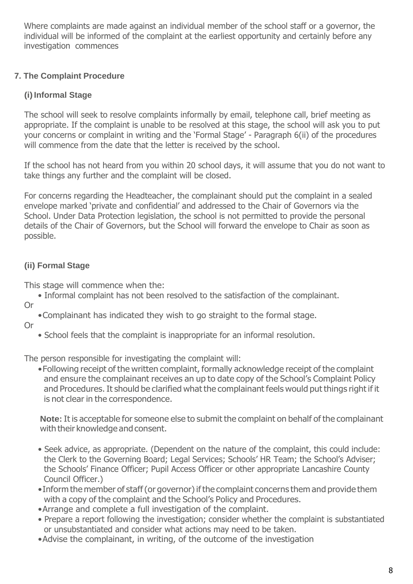Where complaints are made against an individual member of the school staff or a governor, the individual will be informed of the complaint at the earliest opportunity and certainly before any investigation commences

# **7. The Complaint Procedure**

# **(i)Informal Stage**

The school will seek to resolve complaints informally by email, telephone call, brief meeting as appropriate. If the complaint is unable to be resolved at this stage, the school will ask you to put your concerns or complaint in writing and the 'Formal Stage' - Paragraph 6(ii) of the procedures will commence from the date that the letter is received by the school.

If the school has not heard from you within 20 school days, it will assume that you do not want to take things any further and the complaint will be closed.

For concerns regarding the Headteacher, the complainant should put the complaint in a sealed envelope marked 'private and confidential' and addressed to the Chair of Governors via the School. Under Data Protection legislation, the school is not permitted to provide the personal details of the Chair of Governors, but the School will forward the envelope to Chair as soon as possible.

# **(ii) Formal Stage**

This stage will commence when the:

- Informal complaint has not been resolved to the satisfaction of the complainant.
- Or
- •Complainant has indicated they wish to go straight to the formal stage.
- Or
- School feels that the complaint is inappropriate for an informal resolution.

The person responsible for investigating the complaint will:

•Following receipt of the written complaint, formally acknowledge receipt of the complaint and ensure the complainant receives an up to date copy of the School's Complaint Policy and Procedures.It should be clarified what the complainant feels would put things right if it is not clear in the correspondence.

**Note:** It is acceptable for someone else to submit the complaint on behalf of the complainant with their knowledge and consent.

- Seek advice, as appropriate. (Dependent on the nature of the complaint, this could include: the Clerk to the Governing Board; Legal Services; Schools' HR Team; the School's Adviser; the Schools' Finance Officer; Pupil Access Officer or other appropriate Lancashire County Council Officer.)
- Inform the member of staff (or governor) if the complaint concerns them and provide them with a copy of the complaint and the School's Policy and Procedures.
- •Arrange and complete a full investigation of the complaint.
- Prepare a report following the investigation; consider whether the complaint is substantiated or unsubstantiated and consider what actions may need to be taken.
- •Advise the complainant, in writing, of the outcome of the investigation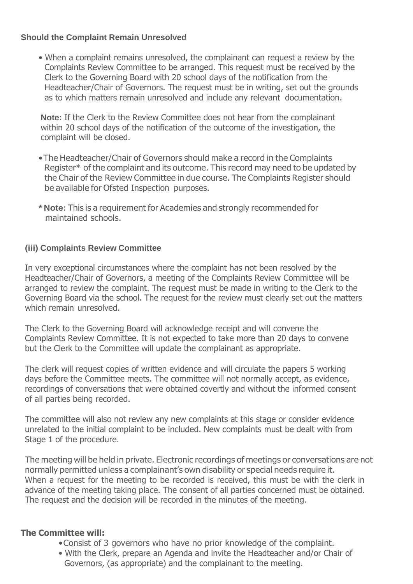### **Should the Complaint Remain Unresolved**

• When a complaint remains unresolved, the complainant can request a review by the Complaints Review Committee to be arranged. This request must be received by the Clerk to the Governing Board with 20 school days of the notification from the Headteacher/Chair of Governors. The request must be in writing, set out the grounds as to which matters remain unresolved and include any relevant documentation.

**Note:** If the Clerk to the Review Committee does not hear from the complainant within 20 school days of the notification of the outcome of the investigation, the complaint will be closed.

- •The Headteacher/Chair of Governors should make a record in the Complaints Register\* of the complaint and its outcome. This record may need to be updated by the Chair of the Review Committee in due course. The Complaints Register should be available for Ofsted Inspection purposes.
- **\* Note:** This is a requirement for Academies and strongly recommended for maintained schools.

### **(iii) Complaints Review Committee**

In very exceptional circumstances where the complaint has not been resolved by the Headteacher/Chair of Governors, a meeting of the Complaints Review Committee will be arranged to review the complaint. The request must be made in writing to the Clerk to the Governing Board via the school. The request for the review must clearly set out the matters which remain unresolved.

The Clerk to the Governing Board will acknowledge receipt and will convene the Complaints Review Committee. It is not expected to take more than 20 days to convene but the Clerk to the Committee will update the complainant as appropriate.

The clerk will request copies of written evidence and will circulate the papers 5 working days before the Committee meets. The committee will not normally accept, as evidence, recordings of conversations that were obtained covertly and without the informed consent of all parties being recorded.

The committee will also not review any new complaints at this stage or consider evidence unrelated to the initial complaint to be included. New complaints must be dealt with from Stage 1 of the procedure.

The meeting will be held in private. Electronic recordings of meetings or conversations are not normally permitted unless a complainant's own disability or special needs require it. When a request for the meeting to be recorded is received, this must be with the clerk in advance of the meeting taking place. The consent of all parties concerned must be obtained. The request and the decision will be recorded in the minutes of the meeting.

### **The Committee will:**

- •Consist of 3 governors who have no prior knowledge of the complaint.
- With the Clerk, prepare an Agenda and invite the Headteacher and/or Chair of Governors, (as appropriate) and the complainant to the meeting.